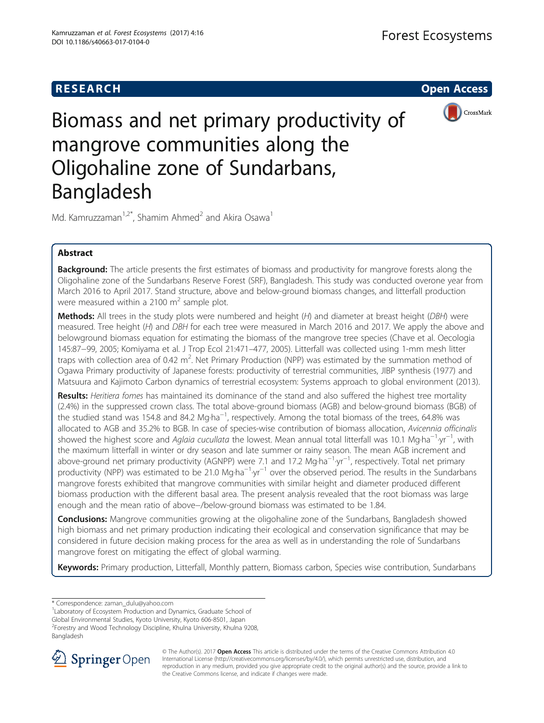## **RESEARCH CHILD CONTROL** CONTROL CONTROL CONTROL CONTROL CONTROL CONTROL CONTROL CONTROL CONTROL CONTROL CONTROL



# Biomass and net primary productivity of mangrove communities along the Oligohaline zone of Sundarbans, Bangladesh

Md. Kamruzzaman<sup>1,2\*</sup>, Shamim Ahmed<sup>2</sup> and Akira Osawa<sup>1</sup>

## Abstract

Background: The article presents the first estimates of biomass and productivity for mangrove forests along the Oligohaline zone of the Sundarbans Reserve Forest (SRF), Bangladesh. This study was conducted overone year from March 2016 to April 2017. Stand structure, above and below-ground biomass changes, and litterfall production were measured within a 2100  $\text{m}^2$  sample plot.

Methods: All trees in the study plots were numbered and height (H) and diameter at breast height (DBH) were measured. Tree height (H) and DBH for each tree were measured in March 2016 and 2017. We apply the above and belowground biomass equation for estimating the biomass of the mangrove tree species (Chave et al. Oecologia 145:87−99, 2005; Komiyama et al. J Trop Ecol 21:471–477, 2005). Litterfall was collected using 1-mm mesh litter traps with collection area of 0.42 m<sup>2</sup>. Net Primary Production (NPP) was estimated by the summation method of Ogawa Primary productivity of Japanese forests: productivity of terrestrial communities, JIBP synthesis (1977) and Matsuura and Kajimoto Carbon dynamics of terrestrial ecosystem: Systems approach to global environment (2013).

Results: Heritiera fomes has maintained its dominance of the stand and also suffered the highest tree mortality (2.4%) in the suppressed crown class. The total above-ground biomass (AGB) and below-ground biomass (BGB) of the studied stand was 154.8 and 84.2 Mg⋅ha<sup>-1</sup>, respectively. Among the total biomass of the trees, 64.8% was allocated to AGB and 35.2% to BGB. In case of species-wise contribution of biomass allocation, Avicennia officinalis showed the highest score and *Aglaia cucullata* the lowest. Mean annual total litterfall was 10.1 Mg⋅ha<sup>-1</sup>⋅yr<sup>-1</sup>, with<br>the maximum litterfall in winter or dny season and late summer or rainy season. The mean AGB increme the maximum litterfall in winter or dry season and late summer or rainy season. The mean AGB increment and above-ground net primary productivity (AGNPP) were 7.1 and 17.2 Mg⋅ha<sup>-1</sup>⋅yr<sup>-1</sup>, respectively. Total net primary productivity (NPP) was estimated to be 21.0 Mg⋅ha<sup>-1</sup>⋅yr<sup>-1</sup> over the observed period. The results in the Sundarbans mangrove forests exhibited that mangrove communities with similar height and diameter produced different biomass production with the different basal area. The present analysis revealed that the root biomass was large enough and the mean ratio of above−/below-ground biomass was estimated to be 1.84.

**Conclusions:** Mangrove communities growing at the oligohaline zone of the Sundarbans, Bangladesh showed high biomass and net primary production indicating their ecological and conservation significance that may be considered in future decision making process for the area as well as in understanding the role of Sundarbans mangrove forest on mitigating the effect of global warming.

Keywords: Primary production, Litterfall, Monthly pattern, Biomass carbon, Species wise contribution, Sundarbans

\* Correspondence: [zaman\\_dulu@yahoo.com](mailto:zaman_dulu@yahoo.com) <sup>1</sup>

<sup>1</sup> Laboratory of Ecosystem Production and Dynamics, Graduate School of

Global Environmental Studies, Kyoto University, Kyoto 606-8501, Japan

<sup>2</sup> Forestry and Wood Technology Discipline, Khulna University, Khulna 9208, Bangladesh



© The Author(s). 2017 **Open Access** This article is distributed under the terms of the Creative Commons Attribution 4.0 International License ([http://creativecommons.org/licenses/by/4.0/\)](http://creativecommons.org/licenses/by/4.0/), which permits unrestricted use, distribution, and reproduction in any medium, provided you give appropriate credit to the original author(s) and the source, provide a link to the Creative Commons license, and indicate if changes were made.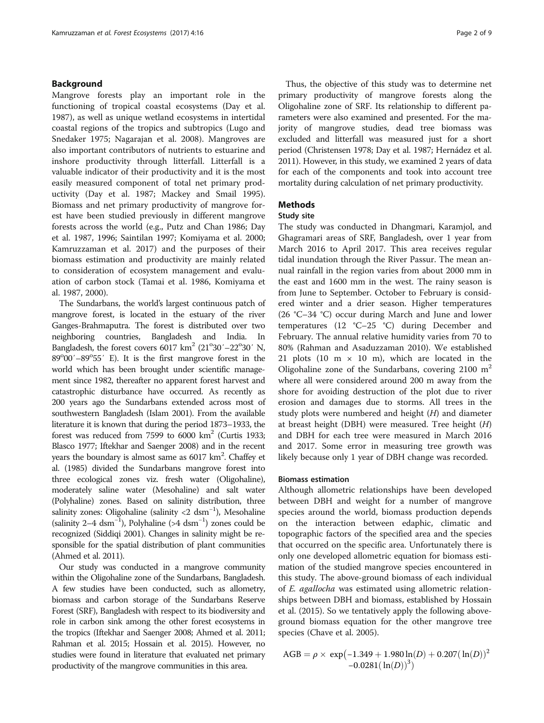## Background

Mangrove forests play an important role in the functioning of tropical coastal ecosystems (Day et al. [1987](#page-8-0)), as well as unique wetland ecosystems in intertidal coastal regions of the tropics and subtropics (Lugo and Snedaker [1975;](#page-8-0) Nagarajan et al. [2008\)](#page-8-0). Mangroves are also important contributors of nutrients to estuarine and inshore productivity through litterfall. Litterfall is a valuable indicator of their productivity and it is the most easily measured component of total net primary productivity (Day et al. [1987](#page-8-0); Mackey and Smail [1995](#page-8-0)). Biomass and net primary productivity of mangrove forest have been studied previously in different mangrove forests across the world (e.g., Putz and Chan [1986;](#page-8-0) Day et al. [1987, 1996](#page-8-0); Saintilan [1997;](#page-8-0) Komiyama et al. [2000](#page-8-0); Kamruzzaman et al. [2017\)](#page-8-0) and the purposes of their biomass estimation and productivity are mainly related to consideration of ecosystem management and evaluation of carbon stock (Tamai et al. [1986,](#page-8-0) Komiyama et al. [1987](#page-8-0), [2000](#page-8-0)).

The Sundarbans, the world's largest continuous patch of mangrove forest, is located in the estuary of the river Ganges-Brahmaputra. The forest is distributed over two neighboring countries, Bangladesh and India. In Bangladesh, the forest covers  $6017 \text{ km}^2 (21^{\circ}30' - 22^{\circ}30' \text{ N},$ 89°00'-89°55' E). It is the first mangrove forest in the world which has been brought under scientific management since 1982, thereafter no apparent forest harvest and catastrophic disturbance have occurred. As recently as 200 years ago the Sundarbans extended across most of southwestern Bangladesh (Islam [2001](#page-8-0)). From the available literature it is known that during the period 1873–1933, the forest was reduced from 7599 to 6000  $km^2$  (Curtis [1933](#page-8-0); Blasco [1977](#page-8-0); Iftekhar and Saenger [2008\)](#page-8-0) and in the recent years the boundary is almost same as 6017 km<sup>2</sup>. Chaffey et al. ([1985](#page-8-0)) divided the Sundarbans mangrove forest into three ecological zones viz. fresh water (Oligohaline), moderately saline water (Mesohaline) and salt water (Polyhaline) zones. Based on salinity distribution, three salinity zones: Oligohaline (salinity <2 dsm<sup>-1</sup>), Mesohaline (salinity 2–4 dsm<sup>-1</sup>), Polyhaline (>4 dsm<sup>-1</sup>) zones could be recognized (Siddiqi [2001](#page-8-0)). Changes in salinity might be responsible for the spatial distribution of plant communities (Ahmed et al. [2011](#page-7-0)).

Our study was conducted in a mangrove community within the Oligohaline zone of the Sundarbans, Bangladesh. A few studies have been conducted, such as allometry, biomass and carbon storage of the Sundarbans Reserve Forest (SRF), Bangladesh with respect to its biodiversity and role in carbon sink among the other forest ecosystems in the tropics (Iftekhar and Saenger [2008](#page-8-0); Ahmed et al. [2011](#page-7-0); Rahman et al. [2015;](#page-8-0) Hossain et al. [2015](#page-8-0)). However, no studies were found in literature that evaluated net primary productivity of the mangrove communities in this area.

Thus, the objective of this study was to determine net primary productivity of mangrove forests along the Oligohaline zone of SRF. Its relationship to different parameters were also examined and presented. For the majority of mangrove studies, dead tree biomass was excluded and litterfall was measured just for a short period (Christensen [1978;](#page-8-0) Day et al. [1987](#page-8-0); Hernádez et al. [2011\)](#page-8-0). However, in this study, we examined 2 years of data for each of the components and took into account tree mortality during calculation of net primary productivity.

## Methods

## Study site

The study was conducted in Dhangmari, Karamjol, and Ghagramari areas of SRF, Bangladesh, over 1 year from March 2016 to April 2017. This area receives regular tidal inundation through the River Passur. The mean annual rainfall in the region varies from about 2000 mm in the east and 1600 mm in the west. The rainy season is from June to September. October to February is considered winter and a drier season. Higher temperatures (26 °C–34 °C) occur during March and June and lower temperatures (12 °C–25 °C) during December and February. The annual relative humidity varies from 70 to 80% (Rahman and Asaduzzaman [2010](#page-8-0)). We established 21 plots (10 m  $\times$  10 m), which are located in the Oligohaline zone of the Sundarbans, covering  $2100 \text{ m}^2$ where all were considered around 200 m away from the shore for avoiding destruction of the plot due to river erosion and damages due to storms. All trees in the study plots were numbered and height  $(H)$  and diameter at breast height (DBH) were measured. Tree height  $(H)$ and DBH for each tree were measured in March 2016 and 2017. Some error in measuring tree growth was likely because only 1 year of DBH change was recorded.

### Biomass estimation

Although allometric relationships have been developed between DBH and weight for a number of mangrove species around the world, biomass production depends on the interaction between edaphic, climatic and topographic factors of the specified area and the species that occurred on the specific area. Unfortunately there is only one developed allometric equation for biomass estimation of the studied mangrove species encountered in this study. The above-ground biomass of each individual of E. agallocha was estimated using allometric relationships between DBH and biomass, established by Hossain et al. [\(2015\)](#page-8-0). So we tentatively apply the following aboveground biomass equation for the other mangrove tree species (Chave et al. [2005\)](#page-8-0).

AGB = 
$$
\rho \times \exp(-1.349 + 1.980 \ln(D) + 0.207(\ln(D)))^2
$$
  
-0.0281( $\ln(D)$ )<sup>3</sup>)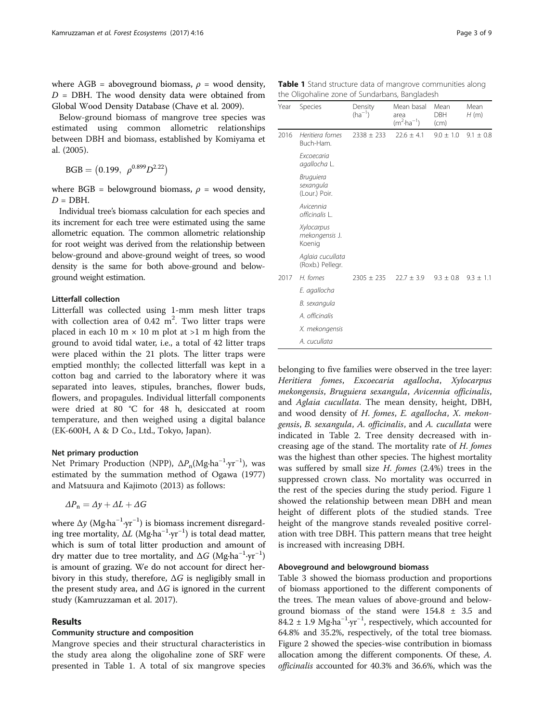where AGB = aboveground biomass,  $\rho$  = wood density,  $D = DBH$ . The wood density data were obtained from Global Wood Density Database (Chave et al. [2009](#page-8-0)).

Below-ground biomass of mangrove tree species was estimated using common allometric relationships between DBH and biomass, established by Komiyama et al. ([2005\)](#page-8-0).

 $BGB = (0.199, \rho^{0.899} D^{2.22})$ 

where BGB = belowground biomass,  $\rho$  = wood density,  $D = DBH$ .

Individual tree's biomass calculation for each species and its increment for each tree were estimated using the same allometric equation. The common allometric relationship for root weight was derived from the relationship between below-ground and above-ground weight of trees, so wood density is the same for both above-ground and belowground weight estimation.

## Litterfall collection

Litterfall was collected using 1-mm mesh litter traps with collection area of  $0.42 \text{ m}^2$ . Two litter traps were placed in each 10 m  $\times$  10 m plot at >1 m high from the ground to avoid tidal water, i.e., a total of 42 litter traps were placed within the 21 plots. The litter traps were emptied monthly; the collected litterfall was kept in a cotton bag and carried to the laboratory where it was separated into leaves, stipules, branches, flower buds, flowers, and propagules. Individual litterfall components were dried at 80 °C for 48 h, desiccated at room temperature, and then weighed using a digital balance (EK-600H, A & D Co., Ltd., Tokyo, Japan).

## Net primary production

Net Primary Production (NPP), ΔP<sub>n</sub>(Mg⋅ha<sup>-1</sup>⋅yr<sup>-1</sup>), was estimated by the summation method of Ogawa ([1977](#page-8-0)) and Matsuura and Kajimoto [\(2013](#page-8-0)) as follows:

$$
\Delta P_{\rm n} = \Delta y + \Delta L + \Delta G
$$

where Δy (Mg⋅ha<sup>-1</sup>⋅yr<sup>-1</sup>) is biomass increment disregarding tree mortality,  $\Delta L$  (Mg⋅ha<sup>-1</sup>⋅yr<sup>-1</sup>) is total dead matter, which is sum of total litter production and amount of dry matter due to tree mortality, and  $\Delta G$  (Mg⋅ha<sup>-1</sup>⋅yr<sup>-1</sup>) is amount of grazing. We do not account for direct herbivory in this study, therefore,  $\Delta G$  is negligibly small in the present study area, and  $\Delta G$  is ignored in the current study (Kamruzzaman et al. [2017](#page-8-0)).

## Results

## Community structure and composition

Mangrove species and their structural characteristics in the study area along the oligohaline zone of SRF were presented in Table 1. A total of six mangrove species

Table 1 Stand structure data of mangrove communities along the Oligohaline zone of Sundarbans, Bangladesh

| Year | Species                                        | Density<br>$(ha^{-1})$ | Mean basal<br>area<br>$(m^2 \cdot ha^{-1})$ | Mean<br><b>DBH</b><br>(cm) | Mean<br>H(m)  |
|------|------------------------------------------------|------------------------|---------------------------------------------|----------------------------|---------------|
| 2016 | Heritiera fomes<br>Buch-Ham.                   | $2338 \pm 233$         | $22.6 \pm 4.1$                              | $9.0 \pm 1.0$              | $9.1 \pm 0.8$ |
|      | Excoecaria<br>agallocha L.                     |                        |                                             |                            |               |
|      | <b>Bruguiera</b><br>sexangula<br>(Lour.) Poir. |                        |                                             |                            |               |
|      | Avicennia<br>officinalis L.                    |                        |                                             |                            |               |
|      | Xylocarpus<br>mekongensis J.<br>Koenig         |                        |                                             |                            |               |
|      | Aglaia cucullata<br>(Roxb.) Pellegr.           |                        |                                             |                            |               |
| 2017 | H. fomes                                       | $2305 \pm 235$         | $22.7 \pm 3.9$                              | $9.3 \pm 0.8$              | $9.3 \pm 1.1$ |
|      | E. agallocha                                   |                        |                                             |                            |               |
|      | B. sexangula                                   |                        |                                             |                            |               |
|      | A. officinalis                                 |                        |                                             |                            |               |
|      | X. mekongensis                                 |                        |                                             |                            |               |
|      | A. cucullata                                   |                        |                                             |                            |               |

belonging to five families were observed in the tree layer: Heritiera fomes, Excoecaria agallocha, Xylocarpus mekongensis, Bruguiera sexangula, Avicennia officinalis, and Aglaia cucullata. The mean density, height, DBH, and wood density of H. fomes, E. agallocha, X. mekongensis, B. sexangula, A. officinalis, and A. cucullata were indicated in Table [2.](#page-3-0) Tree density decreased with increasing age of the stand. The mortality rate of H. fomes was the highest than other species. The highest mortality was suffered by small size  $H$ . fomes (2.4%) trees in the suppressed crown class. No mortality was occurred in the rest of the species during the study period. Figure [1](#page-3-0) showed the relationship between mean DBH and mean height of different plots of the studied stands. Tree height of the mangrove stands revealed positive correlation with tree DBH. This pattern means that tree height is increased with increasing DBH.

#### Aboveground and belowground biomass

Table [3](#page-4-0) showed the biomass production and proportions of biomass apportioned to the different components of the trees. The mean values of above-ground and belowground biomass of the stand were 154.8 ± 3.5 and  $84.2 \pm 1.9$  Mg⋅ha<sup>-1</sup>⋅yr<sup>-1</sup>, respectively, which accounted for 64.8% and 35.2%, respectively, of the total tree biomass. Figure [2](#page-4-0) showed the species-wise contribution in biomass allocation among the different components. Of these, A. officinalis accounted for 40.3% and 36.6%, which was the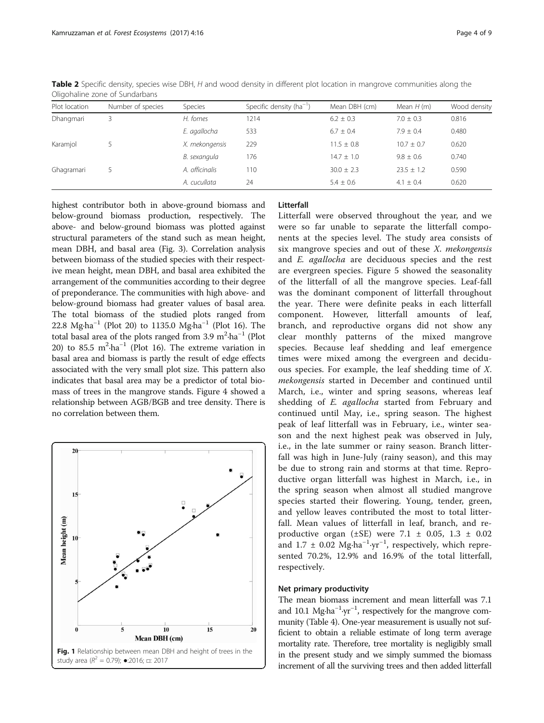| Plot location | Number of species | <b>Species</b> | Specific density ( $ha^{-1}$ ) | Mean DBH (cm)  | Mean $H(m)$    | Wood density |
|---------------|-------------------|----------------|--------------------------------|----------------|----------------|--------------|
| Dhangmari     |                   | H. fomes       | 1214                           | $6.2 \pm 0.3$  | $7.0 \pm 0.3$  | 0.816        |
|               |                   | E. agallocha   | 533                            | $6.7 \pm 0.4$  | $7.9 \pm 0.4$  | 0.480        |
| Karamjol      |                   | X. mekongensis | 229                            | $11.5 \pm 0.8$ | $10.7 + 0.7$   | 0.620        |
|               |                   | B. sexangula   | 176                            | $14.7 \pm 1.0$ | $9.8 \pm 0.6$  | 0.740        |
| Ghagramari    |                   | A. officinalis | 110                            | $30.0 \pm 2.3$ | $23.5 \pm 1.2$ | 0.590        |
|               |                   | A. cucullata   | 24                             | $5.4 \pm 0.6$  | $4.1 \pm 0.4$  | 0.620        |

<span id="page-3-0"></span>Table 2 Specific density, species wise DBH, H and wood density in different plot location in mangrove communities along the Oligohaline zone of Sundarbans

highest contributor both in above-ground biomass and below-ground biomass production, respectively. The above- and below-ground biomass was plotted against structural parameters of the stand such as mean height, mean DBH, and basal area (Fig. [3](#page-5-0)). Correlation analysis between biomass of the studied species with their respective mean height, mean DBH, and basal area exhibited the arrangement of the communities according to their degree of preponderance. The communities with high above- and below-ground biomass had greater values of basal area. The total biomass of the studied plots ranged from 22.8 Mg⋅ha<sup>-1</sup> (Plot 20) to 1135.0 Mg⋅ha<sup>-1</sup> (Plot 16). The total basal area of the plots ranged from  $3.9 \text{ m}^2 \cdot \text{ha}^{-1}$  (Plot 20) to 85.5  $m^2$ -ha<sup>-1</sup> (Plot 16). The extreme variation in basal area and biomass is partly the result of edge effects associated with the very small plot size. This pattern also indicates that basal area may be a predictor of total biomass of trees in the mangrove stands. Figure [4](#page-6-0) showed a relationship between AGB/BGB and tree density. There is no correlation between them.



## Litterfall

Litterfall were observed throughout the year, and we were so far unable to separate the litterfall components at the species level. The study area consists of six mangrove species and out of these X. mekongensis and E. agallocha are deciduous species and the rest are evergreen species. Figure [5](#page-6-0) showed the seasonality of the litterfall of all the mangrove species. Leaf-fall was the dominant component of litterfall throughout the year. There were definite peaks in each litterfall component. However, litterfall amounts of leaf, branch, and reproductive organs did not show any clear monthly patterns of the mixed mangrove species. Because leaf shedding and leaf emergence times were mixed among the evergreen and deciduous species. For example, the leaf shedding time of X. mekongensis started in December and continued until March, i.e., winter and spring seasons, whereas leaf shedding of E. agallocha started from February and continued until May, i.e., spring season. The highest peak of leaf litterfall was in February, i.e., winter season and the next highest peak was observed in July, i.e., in the late summer or rainy season. Branch litterfall was high in June-July (rainy season), and this may be due to strong rain and storms at that time. Reproductive organ litterfall was highest in March, i.e., in the spring season when almost all studied mangrove species started their flowering. Young, tender, green, and yellow leaves contributed the most to total litterfall. Mean values of litterfall in leaf, branch, and reproductive organ ( $\pm$ SE) were 7.1  $\pm$  0.05, 1.3  $\pm$  0.02 and  $1.7 \pm 0.02$  Mg⋅ha<sup>-1</sup>⋅yr<sup>-1</sup>, respectively, which represented 70.2%, 12.9% and 16.9% of the total litterfall, respectively.

## Net primary productivity

The mean biomass increment and mean litterfall was 7.1 and 10.1 Mg⋅ha<sup>-1</sup>⋅yr<sup>-1</sup>, respectively for the mangrove community (Table [4\)](#page-6-0). One-year measurement is usually not sufficient to obtain a reliable estimate of long term average mortality rate. Therefore, tree mortality is negligibly small in the present study and we simply summed the biomass increment of all the surviving trees and then added litterfall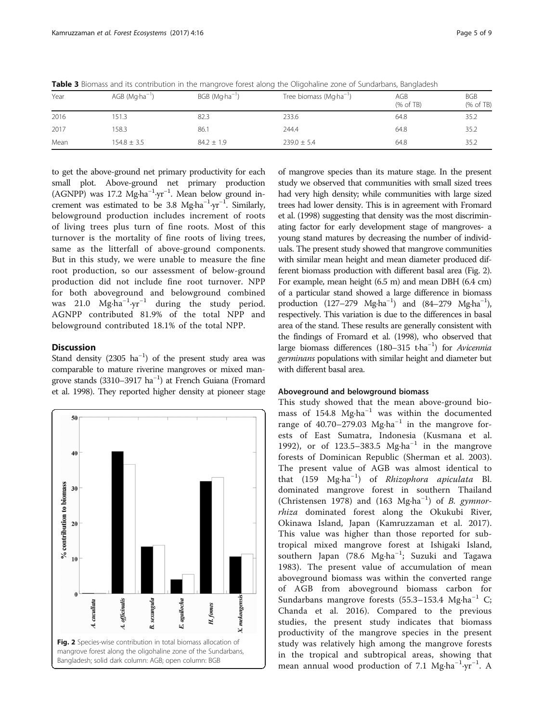| Year | $AGB$ (Mg $\cdot$ ha <sup>-1</sup> ) | $BGB (Mq·ha^{-1})$ | Tree biomass ( $Mg·ha^{-1}$ ) | AGB<br>(% of TB) | <b>BGB</b><br>(% of TB) |
|------|--------------------------------------|--------------------|-------------------------------|------------------|-------------------------|
| 2016 | 51.3                                 | 82.3               | 233.6                         | 64.8             | 35.2                    |
| 2017 | 58.3                                 | 86.1               | 244.4                         | 64.8             | 35.2                    |
| Mean | $154.8 \pm 3.5$                      | $84.2 \pm 1.9$     | $239.0 \pm 5.4$               | 64.8             | 35.2                    |

<span id="page-4-0"></span>Table 3 Biomass and its contribution in the mangrove forest along the Oligohaline zone of Sundarbans, Bangladesh

to get the above-ground net primary productivity for each small plot. Above-ground net primary production (AGNPP) was 17.2 Mg∙ha−<sup>1</sup> ∙yr−<sup>1</sup> . Mean below ground increment was estimated to be 3.8 Mg⋅ha<sup>-1</sup>⋅yr<sup>-1</sup>. Similarly, belowground production includes increment of roots of living trees plus turn of fine roots. Most of this turnover is the mortality of fine roots of living trees, same as the litterfall of above-ground components. But in this study, we were unable to measure the fine root production, so our assessment of below-ground production did not include fine root turnover. NPP for both aboveground and belowground combined was 21.0 Mg∙ha−<sup>1</sup> ∙yr−<sup>1</sup> during the study period. AGNPP contributed 81.9% of the total NPP and belowground contributed 18.1% of the total NPP.

## **Discussion**

Stand density (2305  $ha^{-1}$ ) of the present study area was comparable to mature riverine mangroves or mixed mangrove stands (3310–3917 ha−<sup>1</sup> ) at French Guiana (Fromard et al. [1998\)](#page-8-0). They reported higher density at pioneer stage



of mangrove species than its mature stage. In the present study we observed that communities with small sized trees had very high density; while communities with large sized trees had lower density. This is in agreement with Fromard et al. ([1998](#page-8-0)) suggesting that density was the most discriminating factor for early development stage of mangroves- a young stand matures by decreasing the number of individuals. The present study showed that mangrove communities with similar mean height and mean diameter produced different biomass production with different basal area (Fig. 2). For example, mean height (6.5 m) and mean DBH (6.4 cm) of a particular stand showed a large difference in biomass production (127-279 Mg⋅ha<sup>-1</sup>) and (84-279 Mg⋅ha<sup>-1</sup>), respectively. This variation is due to the differences in basal area of the stand. These results are generally consistent with the findings of Fromard et al. ([1998](#page-8-0)), who observed that large biomass differences (180-315 t⋅ha<sup>-1</sup>) for Avicennia germinans populations with similar height and diameter but with different basal area.

## Aboveground and belowground biomass

This study showed that the mean above-ground biomass of 154.8 Mg∙ha−<sup>1</sup> was within the documented range of 40.70–279.03 Mg⋅ha<sup>-1</sup> in the mangrove forests of East Sumatra, Indonesia (Kusmana et al. [1992\)](#page-8-0), or of 123.5–383.5 Mg⋅ha<sup>-1</sup> in the mangrove forests of Dominican Republic (Sherman et al. [2003](#page-8-0)). The present value of AGB was almost identical to that (159 Mg∙ha−<sup>1</sup> ) of Rhizophora apiculata Bl. dominated mangrove forest in southern Thailand (Christensen [1978\)](#page-8-0) and (163 Mg∙ha−<sup>1</sup> ) of B. gymnorrhiza dominated forest along the Okukubi River, Okinawa Island, Japan (Kamruzzaman et al. [2017](#page-8-0)). This value was higher than those reported for subtropical mixed mangrove forest at Ishigaki Island, southern Japan (78.6 Mg∙ha−<sup>1</sup> ; Suzuki and Tagawa [1983\)](#page-8-0). The present value of accumulation of mean aboveground biomass was within the converted range of AGB from aboveground biomass carbon for Sundarbans mangrove forests (55.3–153.4 Mg⋅ha<sup>-1</sup> C; Chanda et al. [2016](#page-8-0)). Compared to the previous studies, the present study indicates that biomass productivity of the mangrove species in the present study was relatively high among the mangrove forests in the tropical and subtropical areas, showing that mean annual wood production of 7.1 Mg⋅ha<sup>-1</sup>⋅yr<sup>-1</sup>. A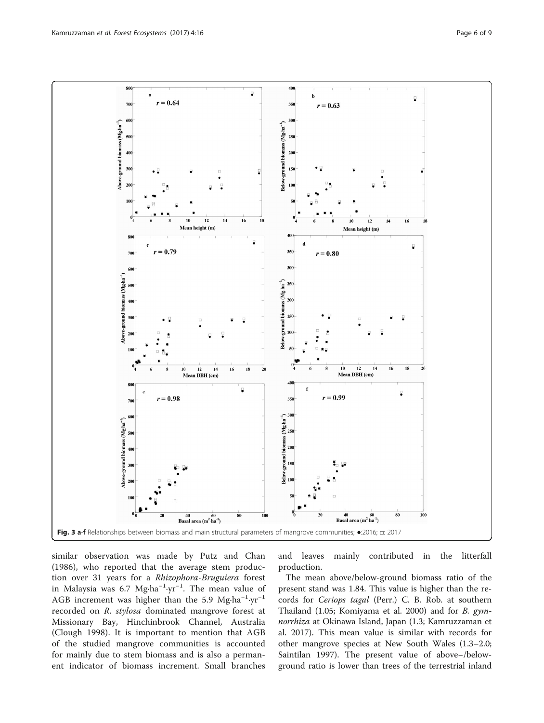<span id="page-5-0"></span>

similar observation was made by Putz and Chan ([1986\)](#page-8-0), who reported that the average stem production over 31 years for a Rhizophora-Bruguiera forest in Malaysia was 6.7 Mg∙ha<sup>-1</sup>∙yr<sup>-1</sup>. The mean value of AGB increment was higher than the 5.9 Mg∙ha−<sup>1</sup> ∙yr−<sup>1</sup> recorded on R. stylosa dominated mangrove forest at Missionary Bay, Hinchinbrook Channel, Australia (Clough [1998](#page-8-0)). It is important to mention that AGB of the studied mangrove communities is accounted for mainly due to stem biomass and is also a permanent indicator of biomass increment. Small branches and leaves mainly contributed in the litterfall production.

The mean above/below-ground biomass ratio of the present stand was 1.84. This value is higher than the records for Ceriops tagal (Perr.) C. B. Rob. at southern Thailand (1.05; Komiyama et al. [2000](#page-8-0)) and for B. gymnorrhiza at Okinawa Island, Japan (1.3; Kamruzzaman et al. [2017](#page-8-0)). This mean value is similar with records for other mangrove species at New South Wales (1.3–2.0; Saintilan [1997](#page-8-0)). The present value of above−/belowground ratio is lower than trees of the terrestrial inland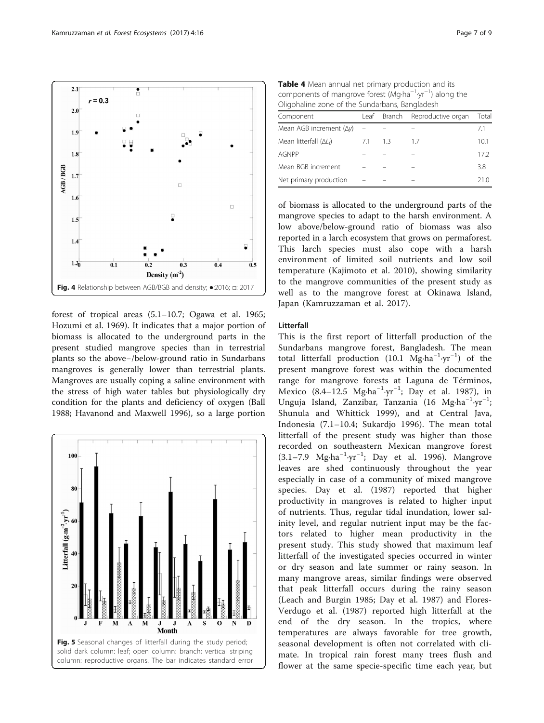<span id="page-6-0"></span>

forest of tropical areas (5.1–10.7; Ogawa et al. [1965](#page-8-0); Hozumi et al. [1969](#page-8-0)). It indicates that a major portion of biomass is allocated to the underground parts in the present studied mangrove species than in terrestrial plants so the above−/below-ground ratio in Sundarbans mangroves is generally lower than terrestrial plants. Mangroves are usually coping a saline environment with the stress of high water tables but physiologically dry condition for the plants and deficiency of oxygen (Ball [1988](#page-8-0); Havanond and Maxwell [1996\)](#page-8-0), so a large portion



Table 4 Mean annual net primary production and its components of mangrove forest (Mg∙ha−<sup>1</sup> ∙yr−<sup>1</sup> ) along the Oligohaline zone of the Sundarbans, Bangladesh

| Component                       | Leaf | Branch | Reproductive organ | Total |
|---------------------------------|------|--------|--------------------|-------|
| Mean AGB increment $(\Delta y)$ |      |        |                    | 71    |
| Mean litterfall $(\Delta L_f)$  | 71   | 13     | $\frac{1}{2}$      | 10.1  |
| AGNPP                           |      |        |                    | 17.2  |
| Mean BGB increment              |      |        |                    | 3.8   |
| Net primary production          |      |        |                    | 21 O  |

of biomass is allocated to the underground parts of the mangrove species to adapt to the harsh environment. A low above/below-ground ratio of biomass was also reported in a larch ecosystem that grows on permaforest. This larch species must also cope with a harsh environment of limited soil nutrients and low soil temperature (Kajimoto et al. [2010\)](#page-8-0), showing similarity to the mangrove communities of the present study as well as to the mangrove forest at Okinawa Island, Japan (Kamruzzaman et al. [2017\)](#page-8-0).

## Litterfall

This is the first report of litterfall production of the Sundarbans mangrove forest, Bangladesh. The mean total litterfall production (10.1 Mg∙ha−<sup>1</sup> ∙yr−<sup>1</sup> ) of the present mangrove forest was within the documented range for mangrove forests at Laguna de Términos, Mexico (8.4–12.5 Mg∙ha−<sup>1</sup> ∙yr−<sup>1</sup> ; Day et al. [1987\)](#page-8-0), in Unguja Island, Zanzibar, Tanzania (16 Mg⋅ha<sup>-1</sup>⋅yr<sup>-1</sup>; Shunula and Whittick [1999\)](#page-8-0), and at Central Java, Indonesia (7.1–10.4; Sukardjo [1996](#page-8-0)). The mean total litterfall of the present study was higher than those recorded on southeastern Mexican mangrove forest (3.1–7.9 Mg∙ha−<sup>1</sup> ∙yr−<sup>1</sup> ; Day et al. [1996\)](#page-8-0). Mangrove leaves are shed continuously throughout the year especially in case of a community of mixed mangrove species. Day et al. [\(1987](#page-8-0)) reported that higher productivity in mangroves is related to higher input of nutrients. Thus, regular tidal inundation, lower salinity level, and regular nutrient input may be the factors related to higher mean productivity in the present study. This study showed that maximum leaf litterfall of the investigated species occurred in winter or dry season and late summer or rainy season. In many mangrove areas, similar findings were observed that peak litterfall occurs during the rainy season (Leach and Burgin [1985;](#page-8-0) Day et al. [1987](#page-8-0)) and Flores-Verdugo et al. ([1987](#page-8-0)) reported high litterfall at the end of the dry season. In the tropics, where temperatures are always favorable for tree growth, seasonal development is often not correlated with climate. In tropical rain forest many trees flush and flower at the same specie-specific time each year, but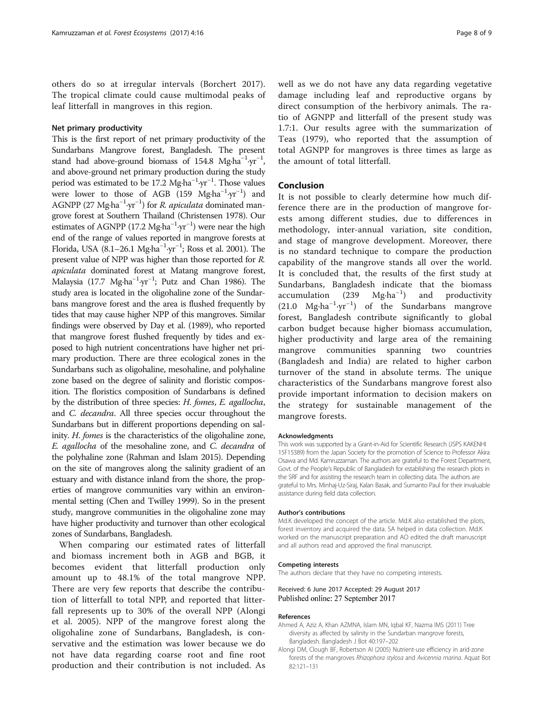<span id="page-7-0"></span>others do so at irregular intervals (Borchert [2017](#page-8-0)). The tropical climate could cause multimodal peaks of leaf litterfall in mangroves in this region.

## Net primary productivity

This is the first report of net primary productivity of the Sundarbans Mangrove forest, Bangladesh. The present stand had above-ground biomass of 154.8 Mg⋅ha<sup>-1</sup>⋅yr<sup>-1</sup>, and above-ground net primary production during the study period was estimated to be 17.2 Mg⋅ha<sup>-1</sup>⋅yr<sup>-1</sup>. Those values were lower to those of AGB (159 Mg∙ha−<sup>1</sup> ∙yr−<sup>1</sup> ) and AGNPP (27 Mg⋅ha<sup>-1</sup>⋅yr<sup>-1</sup>) for *R. apiculata* dominated mangrove forest at Southern Thailand (Christensen [1978](#page-8-0)). Our estimates of AGNPP (17.2 Mg⋅ha<sup>-1</sup>⋅yr<sup>-1</sup>) were near the high end of the range of values reported in mangrove forests at Florida, USA (8.1–26.1 Mg∙ha−<sup>1</sup> ∙yr−<sup>1</sup> ; Ross et al. [2001\)](#page-8-0). The present value of NPP was higher than those reported for R. apiculata dominated forest at Matang mangrove forest, Malaysia (17.7 Mg∙ha−<sup>1</sup> ∙yr−<sup>1</sup> ; Putz and Chan [1986\)](#page-8-0). The study area is located in the oligohaline zone of the Sundarbans mangrove forest and the area is flushed frequently by tides that may cause higher NPP of this mangroves. Similar findings were observed by Day et al. [\(1989](#page-8-0)), who reported that mangrove forest flushed frequently by tides and exposed to high nutrient concentrations have higher net primary production. There are three ecological zones in the Sundarbans such as oligohaline, mesohaline, and polyhaline zone based on the degree of salinity and floristic composition. The floristics composition of Sundarbans is defined by the distribution of three species: H. fomes, E. agallocha, and C. decandra. All three species occur throughout the Sundarbans but in different proportions depending on salinity. H. fomes is the characteristics of the oligohaline zone, E. agallocha of the mesohaline zone, and C. decandra of the polyhaline zone (Rahman and Islam [2015](#page-8-0)). Depending on the site of mangroves along the salinity gradient of an estuary and with distance inland from the shore, the properties of mangrove communities vary within an environmental setting (Chen and Twilley [1999\)](#page-8-0). So in the present study, mangrove communities in the oligohaline zone may have higher productivity and turnover than other ecological zones of Sundarbans, Bangladesh.

When comparing our estimated rates of litterfall and biomass increment both in AGB and BGB, it becomes evident that litterfall production only amount up to 48.1% of the total mangrove NPP. There are very few reports that describe the contribution of litterfall to total NPP, and reported that litterfall represents up to 30% of the overall NPP (Alongi et al. 2005). NPP of the mangrove forest along the oligohaline zone of Sundarbans, Bangladesh, is conservative and the estimation was lower because we do not have data regarding coarse root and fine root production and their contribution is not included. As well as we do not have any data regarding vegetative damage including leaf and reproductive organs by direct consumption of the herbivory animals. The ratio of AGNPP and litterfall of the present study was 1.7:1. Our results agree with the summarization of Teas [\(1979](#page-8-0)), who reported that the assumption of total AGNPP for mangroves is three times as large as the amount of total litterfall.

## Conclusion

It is not possible to clearly determine how much difference there are in the production of mangrove forests among different studies, due to differences in methodology, inter-annual variation, site condition, and stage of mangrove development. Moreover, there is no standard technique to compare the production capability of the mangrove stands all over the world. It is concluded that, the results of the first study at Sundarbans, Bangladesh indicate that the biomass accumulation (239 Mg⋅ha<sup>-1</sup>) ) and productivity (21.0 Mg∙ha−<sup>1</sup> ∙yr−<sup>1</sup> ) of the Sundarbans mangrove forest, Bangladesh contribute significantly to global carbon budget because higher biomass accumulation, higher productivity and large area of the remaining mangrove communities spanning two countries (Bangladesh and India) are related to higher carbon turnover of the stand in absolute terms. The unique characteristics of the Sundarbans mangrove forest also provide important information to decision makers on the strategy for sustainable management of the mangrove forests.

#### Acknowledgments

This work was supported by a Grant-in-Aid for Scientific Research (JSPS KAKENHI 15F15389) from the Japan Society for the promotion of Science to Professor Akira Osawa and Md. Kamruzzaman. The authors are grateful to the Forest Department, Govt. of the People's Republic of Bangladesh for establishing the research plots in the SRF and for assisting the research team in collecting data. The authors are grateful to Mrs. Minhaj-Uz-Siraj, Kalan Basak, and Sumanto Paul for their invaluable assistance during field data collection.

#### Author's contributions

Md.K developed the concept of the article. Md.K also established the plots, forest inventory and acquired the data. SA helped in data collection. Md.K worked on the manuscript preparation and AO edited the draft manuscript and all authors read and approved the final manuscript.

#### Competing interests

The authors declare that they have no competing interests.

Received: 6 June 2017 Accepted: 29 August 2017 Published online: 27 September 2017

#### References

- Ahmed A, Aziz A, Khan AZMNA, Islam MN, Iqbal KF, Nazma IMS (2011) Tree diversity as affected by salinity in the Sundarban mangrove forests, Bangladesh. Bangladesh J Bot 40:197–202
- Alongi DM, Clough BF, Robertson AI (2005) Nutrient-use efficiency in arid-zone forests of the mangroves Rhizophora stylosa and Avicennia marina. Aquat Bot 82:121–131